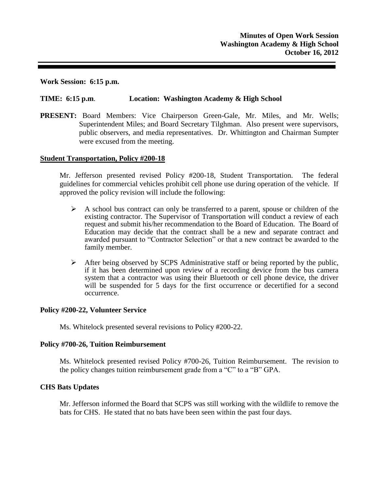**Work Session: 6:15 p.m.**

### **TIME: 6:15 p.m**. **Location: Washington Academy & High School**

**PRESENT:** Board Members: Vice Chairperson Green-Gale, Mr. Miles, and Mr. Wells; Superintendent Miles; and Board Secretary Tilghman. Also present were supervisors, public observers, and media representatives. Dr. Whittington and Chairman Sumpter were excused from the meeting.

### **Student Transportation, Policy #200-18**

Mr. Jefferson presented revised Policy #200-18, Student Transportation. The federal guidelines for commercial vehicles prohibit cell phone use during operation of the vehicle. If approved the policy revision will include the following:

- $\triangleright$  A school bus contract can only be transferred to a parent, spouse or children of the existing contractor. The Supervisor of Transportation will conduct a review of each request and submit his/her recommendation to the Board of Education. The Board of Education may decide that the contract shall be a new and separate contract and awarded pursuant to "Contractor Selection" or that a new contract be awarded to the family member.
- After being observed by SCPS Administrative staff or being reported by the public, if it has been determined upon review of a recording device from the bus camera system that a contractor was using their Bluetooth or cell phone device, the driver will be suspended for 5 days for the first occurrence or decertified for a second occurrence.

### **Policy #200-22, Volunteer Service**

Ms. Whitelock presented several revisions to Policy #200-22.

### **Policy #700-26, Tuition Reimbursement**

Ms. Whitelock presented revised Policy #700-26, Tuition Reimbursement. The revision to the policy changes tuition reimbursement grade from a "C" to a "B" GPA.

### **CHS Bats Updates**

Mr. Jefferson informed the Board that SCPS was still working with the wildlife to remove the bats for CHS. He stated that no bats have been seen within the past four days.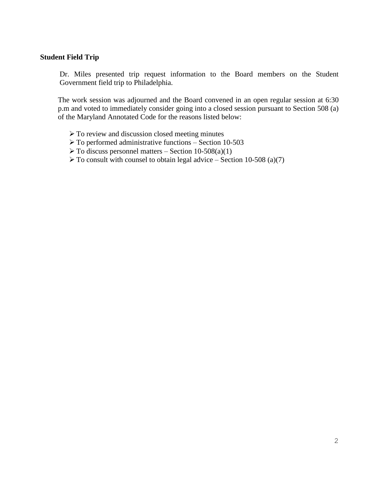# **Student Field Trip**

Dr. Miles presented trip request information to the Board members on the Student Government field trip to Philadelphia.

The work session was adjourned and the Board convened in an open regular session at 6:30 p.m and voted to immediately consider going into a closed session pursuant to Section 508 (a) of the Maryland Annotated Code for the reasons listed below:

- $\triangleright$  To review and discussion closed meeting minutes
- $\triangleright$  To performed administrative functions Section 10-503
- $\triangleright$  To discuss personnel matters Section 10-508(a)(1)
- $\triangleright$  To consult with counsel to obtain legal advice Section 10-508 (a)(7)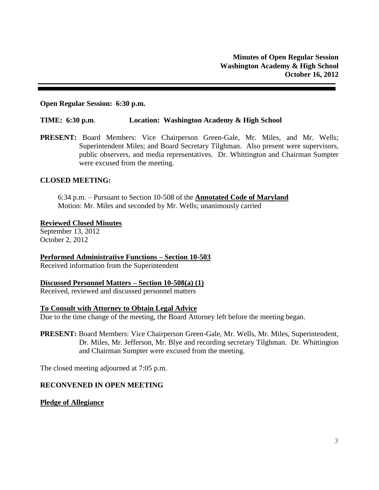### **Open Regular Session: 6:30 p.m.**

#### **TIME: 6:30 p.m**. **Location: Washington Academy & High School**

**PRESENT:** Board Members: Vice Chairperson Green-Gale, Mr. Miles, and Mr. Wells; Superintendent Miles; and Board Secretary Tilghman. Also present were supervisors, public observers, and media representatives. Dr. Whittington and Chairman Sumpter were excused from the meeting.

### **CLOSED MEETING:**

6:34 p.m. – Pursuant to Section 10-508 of the **Annotated Code of Maryland** Motion: Mr. Miles and seconded by Mr. Wells; unanimously carried

#### **Reviewed Closed Minutes**

September 13, 2012 October 2, 2012

**Performed Administrative Functions – Section 10-503**

Received information from the Superintendent

#### **Discussed Personnel Matters – Section 10-508(a) (1)**

Received, reviewed and discussed personnel matters

#### **To Consult with Attorney to Obtain Legal Advice**

Due to the time change of the meeting, the Board Attorney left before the meeting began.

**PRESENT:** Board Members: Vice Chairperson Green-Gale, Mr. Wells, Mr. Miles, Superintendent, Dr. Miles, Mr. Jefferson, Mr. Blye and recording secretary Tilghman. Dr. Whittington and Chairman Sumpter were excused from the meeting.

The closed meeting adjourned at 7:05 p.m.

# **RECONVENED IN OPEN MEETING**

#### **Pledge of Allegiance**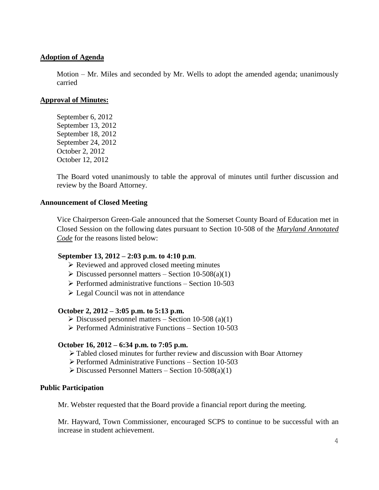# **Adoption of Agenda**

Motion – Mr. Miles and seconded by Mr. Wells to adopt the amended agenda; unanimously carried

### **Approval of Minutes:**

September 6, 2012 September 13, 2012 September 18, 2012 September 24, 2012 October 2, 2012 October 12, 2012

The Board voted unanimously to table the approval of minutes until further discussion and review by the Board Attorney.

### **Announcement of Closed Meeting**

Vice Chairperson Green-Gale announced that the Somerset County Board of Education met in Closed Session on the following dates pursuant to Section 10-508 of the *Maryland Annotated Code* for the reasons listed below:

### **September 13, 2012 – 2:03 p.m. to 4:10 p.m**.

- $\triangleright$  Reviewed and approved closed meeting minutes
- $\triangleright$  Discussed personnel matters Section 10-508(a)(1)
- $\triangleright$  Performed administrative functions Section 10-503
- $\triangleright$  Legal Council was not in attendance

### **October 2, 2012 – 3:05 p.m. to 5:13 p.m.**

- $\triangleright$  Discussed personnel matters Section 10-508 (a)(1)
- $\triangleright$  Performed Administrative Functions Section 10-503

# **October 16, 2012 – 6:34 p.m. to 7:05 p.m.**

- Tabled closed minutes for further review and discussion with Boar Attorney
- $\triangleright$  Performed Administrative Functions Section 10-503
- $\triangleright$  Discussed Personnel Matters Section 10-508(a)(1)

### **Public Participation**

Mr. Webster requested that the Board provide a financial report during the meeting.

Mr. Hayward, Town Commissioner, encouraged SCPS to continue to be successful with an increase in student achievement.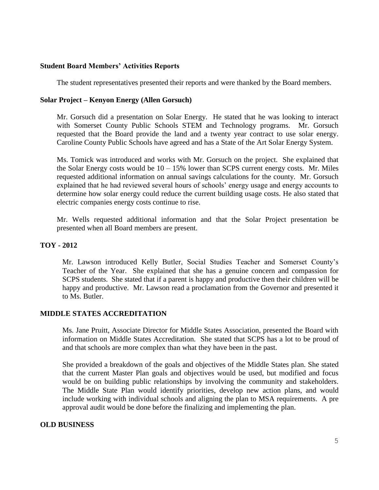# **Student Board Members' Activities Reports**

The student representatives presented their reports and were thanked by the Board members.

# **Solar Project – Kenyon Energy (Allen Gorsuch)**

Mr. Gorsuch did a presentation on Solar Energy. He stated that he was looking to interact with Somerset County Public Schools STEM and Technology programs. Mr. Gorsuch requested that the Board provide the land and a twenty year contract to use solar energy. Caroline County Public Schools have agreed and has a State of the Art Solar Energy System.

Ms. Tomick was introduced and works with Mr. Gorsuch on the project. She explained that the Solar Energy costs would be  $10 - 15\%$  lower than SCPS current energy costs. Mr. Miles requested additional information on annual savings calculations for the county. Mr. Gorsuch explained that he had reviewed several hours of schools' energy usage and energy accounts to determine how solar energy could reduce the current building usage costs. He also stated that electric companies energy costs continue to rise.

Mr. Wells requested additional information and that the Solar Project presentation be presented when all Board members are present.

# **TOY - 2012**

Mr. Lawson introduced Kelly Butler, Social Studies Teacher and Somerset County's Teacher of the Year. She explained that she has a genuine concern and compassion for SCPS students. She stated that if a parent is happy and productive then their children will be happy and productive. Mr. Lawson read a proclamation from the Governor and presented it to Ms. Butler.

# **MIDDLE STATES ACCREDITATION**

Ms. Jane Pruitt, Associate Director for Middle States Association, presented the Board with information on Middle States Accreditation. She stated that SCPS has a lot to be proud of and that schools are more complex than what they have been in the past.

She provided a breakdown of the goals and objectives of the Middle States plan. She stated that the current Master Plan goals and objectives would be used, but modified and focus would be on building public relationships by involving the community and stakeholders. The Middle State Plan would identify priorities, develop new action plans, and would include working with individual schools and aligning the plan to MSA requirements. A pre approval audit would be done before the finalizing and implementing the plan.

# **OLD BUSINESS**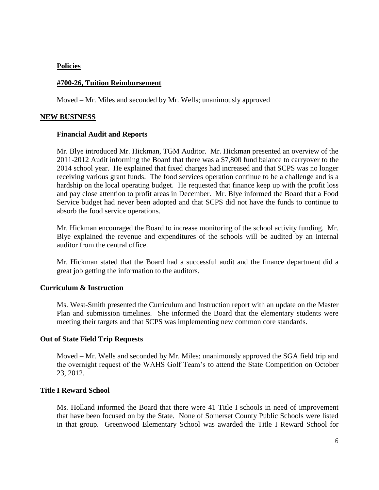### **Policies**

### **#700-26, Tuition Reimbursement**

Moved – Mr. Miles and seconded by Mr. Wells; unanimously approved

### **NEW BUSINESS**

### **Financial Audit and Reports**

Mr. Blye introduced Mr. Hickman, TGM Auditor. Mr. Hickman presented an overview of the 2011-2012 Audit informing the Board that there was a \$7,800 fund balance to carryover to the 2014 school year. He explained that fixed charges had increased and that SCPS was no longer receiving various grant funds. The food services operation continue to be a challenge and is a hardship on the local operating budget. He requested that finance keep up with the profit loss and pay close attention to profit areas in December. Mr. Blye informed the Board that a Food Service budget had never been adopted and that SCPS did not have the funds to continue to absorb the food service operations.

Mr. Hickman encouraged the Board to increase monitoring of the school activity funding. Mr. Blye explained the revenue and expenditures of the schools will be audited by an internal auditor from the central office.

Mr. Hickman stated that the Board had a successful audit and the finance department did a great job getting the information to the auditors.

### **Curriculum & Instruction**

Ms. West-Smith presented the Curriculum and Instruction report with an update on the Master Plan and submission timelines. She informed the Board that the elementary students were meeting their targets and that SCPS was implementing new common core standards.

### **Out of State Field Trip Requests**

Moved – Mr. Wells and seconded by Mr. Miles; unanimously approved the SGA field trip and the overnight request of the WAHS Golf Team's to attend the State Competition on October 23, 2012.

### **Title I Reward School**

Ms. Holland informed the Board that there were 41 Title I schools in need of improvement that have been focused on by the State. None of Somerset County Public Schools were listed in that group. Greenwood Elementary School was awarded the Title I Reward School for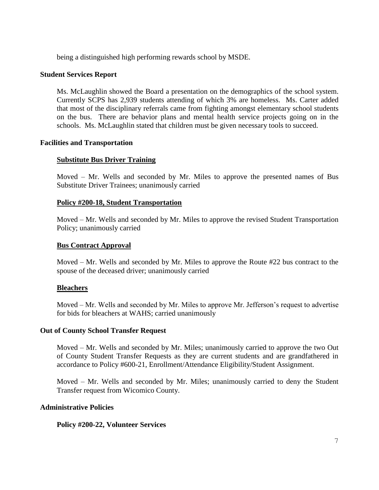being a distinguished high performing rewards school by MSDE.

### **Student Services Report**

Ms. McLaughlin showed the Board a presentation on the demographics of the school system. Currently SCPS has 2,939 students attending of which 3% are homeless. Ms. Carter added that most of the disciplinary referrals came from fighting amongst elementary school students on the bus. There are behavior plans and mental health service projects going on in the schools. Ms. McLaughlin stated that children must be given necessary tools to succeed.

# **Facilities and Transportation**

# **Substitute Bus Driver Training**

Moved – Mr. Wells and seconded by Mr. Miles to approve the presented names of Bus Substitute Driver Trainees; unanimously carried

### **Policy #200-18, Student Transportation**

Moved – Mr. Wells and seconded by Mr. Miles to approve the revised Student Transportation Policy; unanimously carried

### **Bus Contract Approval**

Moved – Mr. Wells and seconded by Mr. Miles to approve the Route #22 bus contract to the spouse of the deceased driver; unanimously carried

### **Bleachers**

Moved – Mr. Wells and seconded by Mr. Miles to approve Mr. Jefferson's request to advertise for bids for bleachers at WAHS; carried unanimously

### **Out of County School Transfer Request**

Moved – Mr. Wells and seconded by Mr. Miles; unanimously carried to approve the two Out of County Student Transfer Requests as they are current students and are grandfathered in accordance to Policy #600-21, Enrollment/Attendance Eligibility/Student Assignment.

Moved – Mr. Wells and seconded by Mr. Miles; unanimously carried to deny the Student Transfer request from Wicomico County.

### **Administrative Policies**

# **Policy #200-22, Volunteer Services**